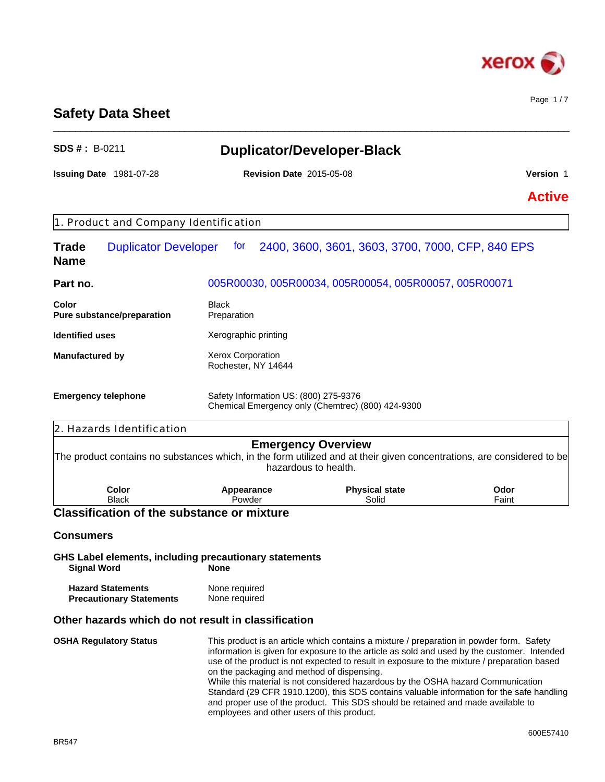

Page 1 / 7

# **Safety Data Sheet**

| <b>SDS #: B-0211</b>                                               |                                                                                          | <b>Duplicator/Developer-Black</b>                                                                                                                                                                                                                                                                                                                                                                                                                                                                                                                           |               |
|--------------------------------------------------------------------|------------------------------------------------------------------------------------------|-------------------------------------------------------------------------------------------------------------------------------------------------------------------------------------------------------------------------------------------------------------------------------------------------------------------------------------------------------------------------------------------------------------------------------------------------------------------------------------------------------------------------------------------------------------|---------------|
| Issuing Date 1981-07-28                                            | <b>Revision Date 2015-05-08</b>                                                          |                                                                                                                                                                                                                                                                                                                                                                                                                                                                                                                                                             | Version 1     |
|                                                                    |                                                                                          |                                                                                                                                                                                                                                                                                                                                                                                                                                                                                                                                                             | <b>Active</b> |
| 1. Product and Company Identification                              |                                                                                          |                                                                                                                                                                                                                                                                                                                                                                                                                                                                                                                                                             |               |
| <b>Duplicator Developer</b><br><b>Trade</b><br><b>Name</b>         | tor                                                                                      | 2400, 3600, 3601, 3603, 3700, 7000, CFP, 840 EPS                                                                                                                                                                                                                                                                                                                                                                                                                                                                                                            |               |
| Part no.                                                           |                                                                                          | 005R00030, 005R00034, 005R00054, 005R00057, 005R00071                                                                                                                                                                                                                                                                                                                                                                                                                                                                                                       |               |
| Color<br>Pure substance/preparation                                | <b>Black</b><br>Preparation                                                              |                                                                                                                                                                                                                                                                                                                                                                                                                                                                                                                                                             |               |
| <b>Identified uses</b>                                             | Xerographic printing                                                                     |                                                                                                                                                                                                                                                                                                                                                                                                                                                                                                                                                             |               |
| Xerox Corporation<br><b>Manufactured by</b><br>Rochester, NY 14644 |                                                                                          |                                                                                                                                                                                                                                                                                                                                                                                                                                                                                                                                                             |               |
| <b>Emergency telephone</b>                                         | Safety Information US: (800) 275-9376                                                    | Chemical Emergency only (Chemtrec) (800) 424-9300                                                                                                                                                                                                                                                                                                                                                                                                                                                                                                           |               |
| 2. Hazards Identification                                          |                                                                                          |                                                                                                                                                                                                                                                                                                                                                                                                                                                                                                                                                             |               |
|                                                                    |                                                                                          | <b>Emergency Overview</b><br>The product contains no substances which, in the form utilized and at their given concentrations, are considered to be<br>hazardous to health.                                                                                                                                                                                                                                                                                                                                                                                 |               |
| Color<br><b>Black</b>                                              | Appearance<br>Powder                                                                     | <b>Physical state</b><br>Solid                                                                                                                                                                                                                                                                                                                                                                                                                                                                                                                              | Odor<br>Faint |
| <b>Classification of the substance or mixture</b>                  |                                                                                          |                                                                                                                                                                                                                                                                                                                                                                                                                                                                                                                                                             |               |
| <b>Consumers</b>                                                   |                                                                                          |                                                                                                                                                                                                                                                                                                                                                                                                                                                                                                                                                             |               |
| <b>Signal Word</b>                                                 | GHS Label elements, including precautionary statements<br><b>None</b>                    |                                                                                                                                                                                                                                                                                                                                                                                                                                                                                                                                                             |               |
| <b>Hazard Statements</b><br><b>Precautionary Statements</b>        | None required<br>None required                                                           |                                                                                                                                                                                                                                                                                                                                                                                                                                                                                                                                                             |               |
|                                                                    | Other hazards which do not result in classification                                      |                                                                                                                                                                                                                                                                                                                                                                                                                                                                                                                                                             |               |
| <b>OSHA Regulatory Status</b>                                      | on the packaging and method of dispensing.<br>employees and other users of this product. | This product is an article which contains a mixture / preparation in powder form. Safety<br>information is given for exposure to the article as sold and used by the customer. Intended<br>use of the product is not expected to result in exposure to the mixture / preparation based<br>While this material is not considered hazardous by the OSHA hazard Communication<br>Standard (29 CFR 1910.1200), this SDS contains valuable information for the safe handling<br>and proper use of the product. This SDS should be retained and made available to |               |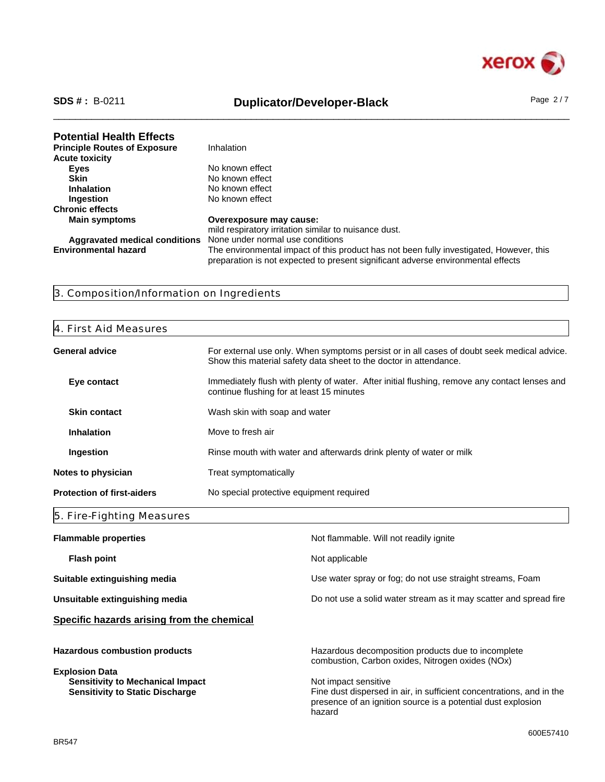

**Principle Routes of Exposure** 

# \_\_\_\_\_\_\_\_\_\_\_\_\_\_\_\_\_\_\_\_\_\_\_\_\_\_\_\_\_\_\_\_\_\_\_\_\_\_\_\_\_\_\_\_\_\_\_\_\_\_\_\_\_\_\_\_\_\_\_\_\_\_\_\_\_\_\_\_\_\_\_\_\_\_\_\_\_\_\_\_\_\_\_\_\_\_\_\_\_\_\_\_\_\_ **SDS # :** B-0211 **Duplicator/Developer-Black** Page 2 / 7

**Potential Health Effects**<br>**Principle Routes of Exposure** Inhalation **Eyes** No known effect

| <b>Acute toxicity</b>         |                                                                                         |
|-------------------------------|-----------------------------------------------------------------------------------------|
| Eyes                          | No known effect                                                                         |
| <b>Skin</b>                   | No known effect                                                                         |
| <b>Inhalation</b>             | No known effect                                                                         |
| <b>Ingestion</b>              | No known effect                                                                         |
| <b>Chronic effects</b>        |                                                                                         |
| <b>Main symptoms</b>          | Overexposure may cause:                                                                 |
|                               | mild respiratory irritation similar to nuisance dust.                                   |
| Aggravated medical conditions | None under normal use conditions                                                        |
| <b>Environmental hazard</b>   | The environmental impact of this product has not been fully investigated, However, this |
|                               | preparation is not expected to present significant adverse environmental effects        |

# 3. Composition/Information on Ingredients

#### 4. First Aid Measures

| General advice                    | For external use only. When symptoms persist or in all cases of doubt seek medical advice.<br>Show this material safety data sheet to the doctor in attendance. |
|-----------------------------------|-----------------------------------------------------------------------------------------------------------------------------------------------------------------|
| Eye contact                       | Immediately flush with plenty of water. After initial flushing, remove any contact lenses and<br>continue flushing for at least 15 minutes                      |
| <b>Skin contact</b>               | Wash skin with soap and water                                                                                                                                   |
| <b>Inhalation</b>                 | Move to fresh air                                                                                                                                               |
| Ingestion                         | Rinse mouth with water and afterwards drink plenty of water or milk                                                                                             |
| <b>Notes to physician</b>         | Treat symptomatically                                                                                                                                           |
| <b>Protection of first-aiders</b> | No special protective equipment required                                                                                                                        |

# 5. Fire-Fighting Measures

| <b>Flammable properties</b>                                                       | Not flammable. Will not readily ignite                                                                                                                                 |
|-----------------------------------------------------------------------------------|------------------------------------------------------------------------------------------------------------------------------------------------------------------------|
| Flash point                                                                       | Not applicable                                                                                                                                                         |
| Suitable extinguishing media                                                      | Use water spray or fog; do not use straight streams, Foam                                                                                                              |
| Unsuitable extinguishing media                                                    | Do not use a solid water stream as it may scatter and spread fire                                                                                                      |
| Specific hazards arising from the chemical                                        |                                                                                                                                                                        |
| <b>Hazardous combustion products</b><br><b>Explosion Data</b>                     | Hazardous decomposition products due to incomplete<br>combustion, Carbon oxides, Nitrogen oxides (NOx)                                                                 |
| <b>Sensitivity to Mechanical Impact</b><br><b>Sensitivity to Static Discharge</b> | Not impact sensitive<br>Fine dust dispersed in air, in sufficient concentrations, and in the<br>presence of an ignition source is a potential dust explosion<br>hazard |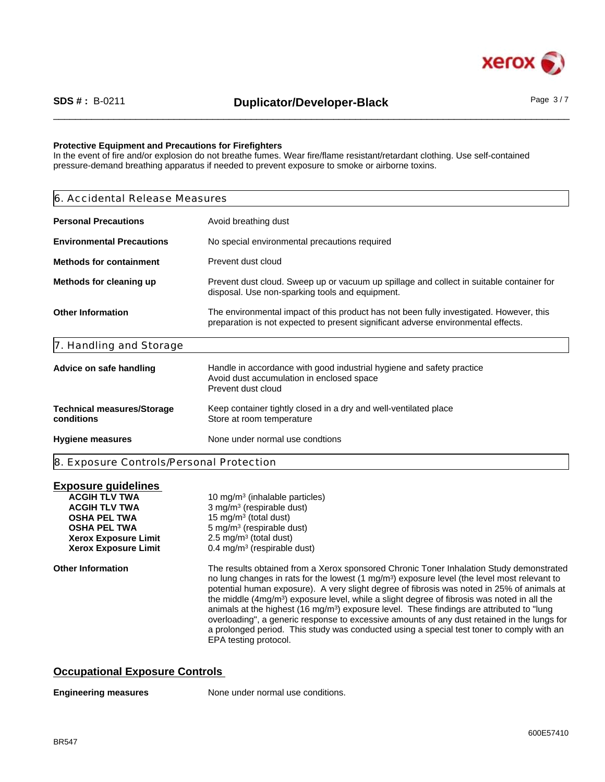

#### **Protective Equipment and Precautions for Firefighters**

In the event of fire and/or explosion do not breathe fumes. Wear fire/flame resistant/retardant clothing. Use self-contained pressure-demand breathing apparatus if needed to prevent exposure to smoke or airborne toxins.

| 6. Accidental Release Measures                  |                                                                                                                                                                              |  |  |
|-------------------------------------------------|------------------------------------------------------------------------------------------------------------------------------------------------------------------------------|--|--|
| <b>Personal Precautions</b>                     | Avoid breathing dust                                                                                                                                                         |  |  |
| <b>Environmental Precautions</b>                | No special environmental precautions required                                                                                                                                |  |  |
| <b>Methods for containment</b>                  | Prevent dust cloud                                                                                                                                                           |  |  |
| Methods for cleaning up                         | Prevent dust cloud. Sweep up or vacuum up spillage and collect in suitable container for<br>disposal. Use non-sparking tools and equipment.                                  |  |  |
| <b>Other Information</b>                        | The environmental impact of this product has not been fully investigated. However, this<br>preparation is not expected to present significant adverse environmental effects. |  |  |
| 7. Handling and Storage                         |                                                                                                                                                                              |  |  |
| Advice on safe handling                         | Handle in accordance with good industrial hygiene and safety practice<br>Avoid dust accumulation in enclosed space<br>Prevent dust cloud                                     |  |  |
| <b>Technical measures/Storage</b><br>conditions | Keep container tightly closed in a dry and well-ventilated place<br>Store at room temperature                                                                                |  |  |
| <b>Hygiene measures</b>                         | None under normal use condtions                                                                                                                                              |  |  |
| 8. Exposure Controls/Personal Protection        |                                                                                                                                                                              |  |  |

### **Exposure guidelines**

| <b>ACGIH TLV TWA</b><br><b>ACGIH TLV TWA</b><br><b>OSHA PEL TWA</b> | 10 mg/m <sup>3</sup> (inhalable particles)<br>3 mg/m <sup>3</sup> (respirable dust)<br>15 mg/m <sup>3</sup> (total dust)                                                                                                                                                                                                                                                                                                                                                                                                                                                                                                                                                                                                    |
|---------------------------------------------------------------------|-----------------------------------------------------------------------------------------------------------------------------------------------------------------------------------------------------------------------------------------------------------------------------------------------------------------------------------------------------------------------------------------------------------------------------------------------------------------------------------------------------------------------------------------------------------------------------------------------------------------------------------------------------------------------------------------------------------------------------|
| <b>OSHA PEL TWA</b>                                                 | $5 \text{ mg/m}^3$ (respirable dust)                                                                                                                                                                                                                                                                                                                                                                                                                                                                                                                                                                                                                                                                                        |
| <b>Xerox Exposure Limit</b>                                         | $2.5 \text{ mg/m}^3$ (total dust)                                                                                                                                                                                                                                                                                                                                                                                                                                                                                                                                                                                                                                                                                           |
| <b>Xerox Exposure Limit</b>                                         | $0.4 \text{ mg/m}^3$ (respirable dust)                                                                                                                                                                                                                                                                                                                                                                                                                                                                                                                                                                                                                                                                                      |
| <b>Other Information</b>                                            | The results obtained from a Xerox sponsored Chronic Toner Inhalation Study demonstrated<br>no lung changes in rats for the lowest $(1 \text{ mg/m}^3)$ exposure level (the level most relevant to<br>potential human exposure). A very slight degree of fibrosis was noted in 25% of animals at<br>the middle $(4mg/m3)$ exposure level, while a slight degree of fibrosis was noted in all the<br>animals at the highest $(16 \text{ mg/m}^3)$ exposure level. These findings are attributed to "lung<br>overloading", a generic response to excessive amounts of any dust retained in the lungs for<br>a prolonged period. This study was conducted using a special test toner to comply with an<br>EPA testing protocol. |

### **Occupational Exposure Controls**

#### **Engineering measures**

None under normal use conditions.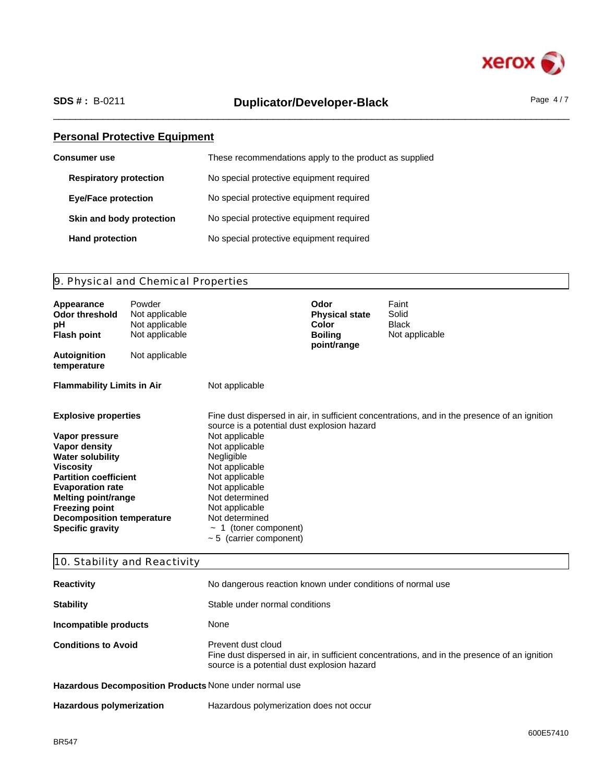

# \_\_\_\_\_\_\_\_\_\_\_\_\_\_\_\_\_\_\_\_\_\_\_\_\_\_\_\_\_\_\_\_\_\_\_\_\_\_\_\_\_\_\_\_\_\_\_\_\_\_\_\_\_\_\_\_\_\_\_\_\_\_\_\_\_\_\_\_\_\_\_\_\_\_\_\_\_\_\_\_\_\_\_\_\_\_\_\_\_\_\_\_\_\_ **SDS # :** B-0211 **Duplicator/Developer-Black** Page 4 / 7

# **Personal Protective Equipment**

| <b>Consumer</b> use           | These recommendations apply to the product as supplied |
|-------------------------------|--------------------------------------------------------|
| <b>Respiratory protection</b> | No special protective equipment required               |
| <b>Eye/Face protection</b>    | No special protective equipment required               |
| Skin and body protection      | No special protective equipment required               |
| <b>Hand protection</b>        | No special protective equipment required               |

# 9. Physical and Chemical Properties

| Appearance<br>Odor threshold<br>рH<br><b>Flash point</b>                                                                                                                                                                                                                                       | Powder<br>Not applicable<br>Not applicable<br>Not applicable |                                                                                                                                                                                                                                                                         | Odor<br><b>Physical state</b><br><b>Color</b><br><b>Boiling</b><br>point/range | Faint<br>Solid<br><b>Black</b><br>Not applicable                                             |
|------------------------------------------------------------------------------------------------------------------------------------------------------------------------------------------------------------------------------------------------------------------------------------------------|--------------------------------------------------------------|-------------------------------------------------------------------------------------------------------------------------------------------------------------------------------------------------------------------------------------------------------------------------|--------------------------------------------------------------------------------|----------------------------------------------------------------------------------------------|
| <b>Autoignition</b><br>temperature                                                                                                                                                                                                                                                             | Not applicable                                               |                                                                                                                                                                                                                                                                         |                                                                                |                                                                                              |
| <b>Flammability Limits in Air</b>                                                                                                                                                                                                                                                              |                                                              | Not applicable                                                                                                                                                                                                                                                          |                                                                                |                                                                                              |
| <b>Explosive properties</b><br>Vapor pressure<br>Vapor density<br><b>Water solubility</b><br><b>Viscosity</b><br><b>Partition coefficient</b><br><b>Evaporation rate</b><br><b>Melting point/range</b><br><b>Freezing point</b><br><b>Decomposition temperature</b><br><b>Specific gravity</b> |                                                              | source is a potential dust explosion hazard<br>Not applicable<br>Not applicable<br>Negligible<br>Not applicable<br>Not applicable<br>Not applicable<br>Not determined<br>Not applicable<br>Not determined<br>$\sim$ 1 (toner component)<br>$\sim$ 5 (carrier component) |                                                                                | Fine dust dispersed in air, in sufficient concentrations, and in the presence of an ignition |

# 10. Stability and Reactivity

| <b>Reactivity</b>                                                                                                                                                                               | No dangerous reaction known under conditions of normal use |  |
|-------------------------------------------------------------------------------------------------------------------------------------------------------------------------------------------------|------------------------------------------------------------|--|
| <b>Stability</b>                                                                                                                                                                                | Stable under normal conditions                             |  |
| Incompatible products                                                                                                                                                                           | None                                                       |  |
| <b>Conditions to Avoid</b><br>Prevent dust cloud<br>Fine dust dispersed in air, in sufficient concentrations, and in the presence of an ignition<br>source is a potential dust explosion hazard |                                                            |  |
| Hazardous Decomposition Products None under normal use                                                                                                                                          |                                                            |  |

| <b>Hazardous polymerization</b> | Hazardous polymerization does not occur |  |
|---------------------------------|-----------------------------------------|--|
|---------------------------------|-----------------------------------------|--|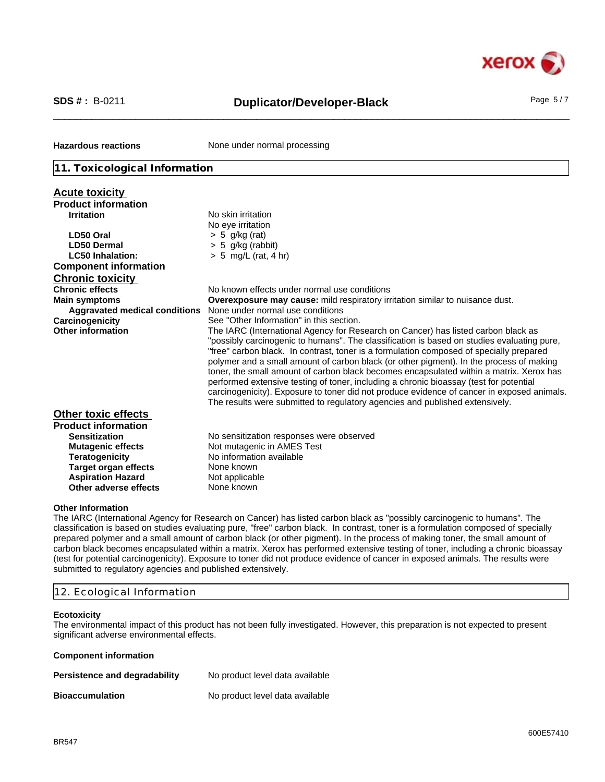

# \_\_\_\_\_\_\_\_\_\_\_\_\_\_\_\_\_\_\_\_\_\_\_\_\_\_\_\_\_\_\_\_\_\_\_\_\_\_\_\_\_\_\_\_\_\_\_\_\_\_\_\_\_\_\_\_\_\_\_\_\_\_\_\_\_\_\_\_\_\_\_\_\_\_\_\_\_\_\_\_\_\_\_\_\_\_\_\_\_\_\_\_\_\_ **SDS # :** B-0211 **Duplicator/Developer-Black** Page 5 / 7

**Hazardous reactions** None under normal processing

#### **11. Toxicological Information**

| <b>Acute toxicity</b>                                                                                                                                                                                                     |                                                                                                                                                                                                                                                                                                                                                                                                                                                                                                                                                                                                                                                                                                                                          |
|---------------------------------------------------------------------------------------------------------------------------------------------------------------------------------------------------------------------------|------------------------------------------------------------------------------------------------------------------------------------------------------------------------------------------------------------------------------------------------------------------------------------------------------------------------------------------------------------------------------------------------------------------------------------------------------------------------------------------------------------------------------------------------------------------------------------------------------------------------------------------------------------------------------------------------------------------------------------------|
| <b>Product information</b>                                                                                                                                                                                                |                                                                                                                                                                                                                                                                                                                                                                                                                                                                                                                                                                                                                                                                                                                                          |
| <b>Irritation</b>                                                                                                                                                                                                         | No skin irritation                                                                                                                                                                                                                                                                                                                                                                                                                                                                                                                                                                                                                                                                                                                       |
|                                                                                                                                                                                                                           | No eye irritation                                                                                                                                                                                                                                                                                                                                                                                                                                                                                                                                                                                                                                                                                                                        |
| LD50 Oral                                                                                                                                                                                                                 | $> 5$ g/kg (rat)                                                                                                                                                                                                                                                                                                                                                                                                                                                                                                                                                                                                                                                                                                                         |
| <b>LD50 Dermal</b>                                                                                                                                                                                                        | $> 5$ g/kg (rabbit)                                                                                                                                                                                                                                                                                                                                                                                                                                                                                                                                                                                                                                                                                                                      |
| <b>LC50 Inhalation:</b>                                                                                                                                                                                                   | $> 5$ mg/L (rat, 4 hr)                                                                                                                                                                                                                                                                                                                                                                                                                                                                                                                                                                                                                                                                                                                   |
| <b>Component information</b>                                                                                                                                                                                              |                                                                                                                                                                                                                                                                                                                                                                                                                                                                                                                                                                                                                                                                                                                                          |
| <b>Chronic toxicity</b>                                                                                                                                                                                                   |                                                                                                                                                                                                                                                                                                                                                                                                                                                                                                                                                                                                                                                                                                                                          |
| <b>Chronic effects</b>                                                                                                                                                                                                    | No known effects under normal use conditions                                                                                                                                                                                                                                                                                                                                                                                                                                                                                                                                                                                                                                                                                             |
| <b>Main symptoms</b>                                                                                                                                                                                                      | <b>Overexposure may cause:</b> mild respiratory irritation similar to nuisance dust.                                                                                                                                                                                                                                                                                                                                                                                                                                                                                                                                                                                                                                                     |
| Aggravated medical conditions                                                                                                                                                                                             | None under normal use conditions                                                                                                                                                                                                                                                                                                                                                                                                                                                                                                                                                                                                                                                                                                         |
| Carcinogenicity                                                                                                                                                                                                           | See "Other Information" in this section.                                                                                                                                                                                                                                                                                                                                                                                                                                                                                                                                                                                                                                                                                                 |
| <b>Other information</b>                                                                                                                                                                                                  | The IARC (International Agency for Research on Cancer) has listed carbon black as<br>"possibly carcinogenic to humans". The classification is based on studies evaluating pure,<br>"free" carbon black. In contrast, toner is a formulation composed of specially prepared<br>polymer and a small amount of carbon black (or other pigment). In the process of making<br>toner, the small amount of carbon black becomes encapsulated within a matrix. Xerox has<br>performed extensive testing of toner, including a chronic bioassay (test for potential<br>carcinogenicity). Exposure to toner did not produce evidence of cancer in exposed animals.<br>The results were submitted to regulatory agencies and published extensively. |
| <b>Other toxic effects</b><br><b>Product information</b><br><b>Sensitization</b><br><b>Mutagenic effects</b><br><b>Teratogenicity</b><br><b>Target organ effects</b><br><b>Aspiration Hazard</b><br>Other adverse effects | No sensitization responses were observed<br>Not mutagenic in AMES Test<br>No information available<br>None known<br>Not applicable<br>None known                                                                                                                                                                                                                                                                                                                                                                                                                                                                                                                                                                                         |
|                                                                                                                                                                                                                           |                                                                                                                                                                                                                                                                                                                                                                                                                                                                                                                                                                                                                                                                                                                                          |

#### **Other Information**

The IARC (International Agency for Research on Cancer) has listed carbon black as "possibly carcinogenic to humans". The classification is based on studies evaluating pure, "free" carbon black. In contrast, toner is a formulation composed of specially prepared polymer and a small amount of carbon black (or other pigment). In the process of making toner, the small amount of carbon black becomes encapsulated within a matrix. Xerox has performed extensive testing of toner, including a chronic bioassay (test for potential carcinogenicity). Exposure to toner did not produce evidence of cancer in exposed animals. The results were submitted to regulatory agencies and published extensively.

#### 12. Ecological Information

#### **Ecotoxicity**

The environmental impact of this product has not been fully investigated. However, this preparation is not expected to present significant adverse environmental effects.

#### **Component information**

| Persistence and degradability | No product level data available |
|-------------------------------|---------------------------------|
| <b>Bioaccumulation</b>        | No product level data available |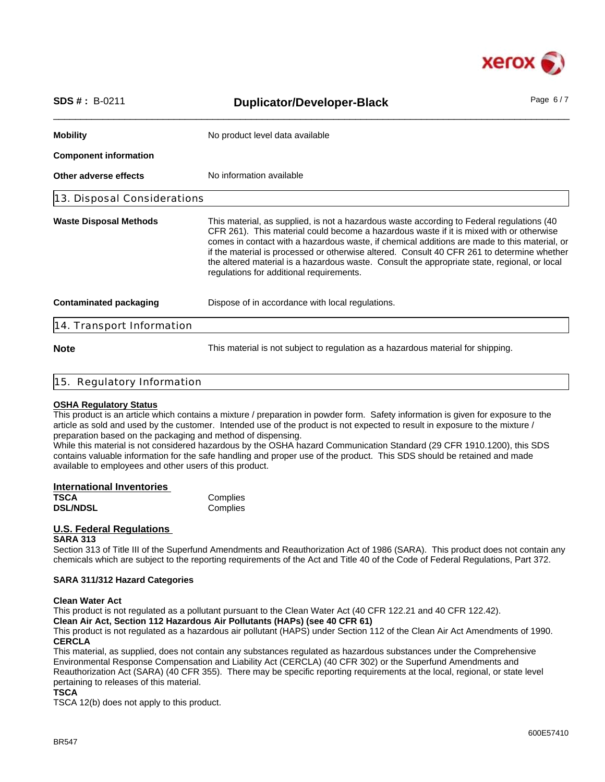

| $SDS # : B-0211$              | <b>Duplicator/Developer-Black</b>                                                                                                                                                                                                                                                                                                                                                                                                                                                                                              | Page $6/7$ |
|-------------------------------|--------------------------------------------------------------------------------------------------------------------------------------------------------------------------------------------------------------------------------------------------------------------------------------------------------------------------------------------------------------------------------------------------------------------------------------------------------------------------------------------------------------------------------|------------|
| <b>Mobility</b>               | No product level data available                                                                                                                                                                                                                                                                                                                                                                                                                                                                                                |            |
| <b>Component information</b>  |                                                                                                                                                                                                                                                                                                                                                                                                                                                                                                                                |            |
| Other adverse effects         | No information available                                                                                                                                                                                                                                                                                                                                                                                                                                                                                                       |            |
| 13. Disposal Considerations   |                                                                                                                                                                                                                                                                                                                                                                                                                                                                                                                                |            |
| <b>Waste Disposal Methods</b> | This material, as supplied, is not a hazardous waste according to Federal regulations (40<br>CFR 261). This material could become a hazardous waste if it is mixed with or otherwise<br>comes in contact with a hazardous waste, if chemical additions are made to this material, or<br>if the material is processed or otherwise altered. Consult 40 CFR 261 to determine whether<br>the altered material is a hazardous waste. Consult the appropriate state, regional, or local<br>regulations for additional requirements. |            |
| <b>Contaminated packaging</b> | Dispose of in accordance with local regulations.                                                                                                                                                                                                                                                                                                                                                                                                                                                                               |            |
| 14. Transport Information     |                                                                                                                                                                                                                                                                                                                                                                                                                                                                                                                                |            |
| <b>Note</b>                   | This material is not subject to regulation as a hazardous material for shipping.                                                                                                                                                                                                                                                                                                                                                                                                                                               |            |

#### 15. Regulatory Information

#### **OSHA Regulatory Status**

This product is an article which contains a mixture / preparation in powder form. Safety information is given for exposure to the article as sold and used by the customer. Intended use of the product is not expected to result in exposure to the mixture / preparation based on the packaging and method of dispensing.

While this material is not considered hazardous by the OSHA hazard Communication Standard (29 CFR 1910.1200), this SDS contains valuable information for the safe handling and proper use of the product. This SDS should be retained and made available to employees and other users of this product.

| International Inventories |          |  |
|---------------------------|----------|--|
| <b>TSCA</b>               | Complies |  |
| <b>DSL/NDSL</b>           | Complies |  |

### **U.S. Federal Regulations**

#### **SARA 313**

Section 313 of Title III of the Superfund Amendments and Reauthorization Act of 1986 (SARA). This product does not contain any chemicals which are subject to the reporting requirements of the Act and Title 40 of the Code of Federal Regulations, Part 372.

#### **SARA 311/312 Hazard Categories**

#### **Clean Water Act**

This product is not regulated as a pollutant pursuant to the Clean Water Act (40 CFR 122.21 and 40 CFR 122.42).

# **Clean Air Act, Section 112 Hazardous Air Pollutants (HAPs) (see 40 CFR 61)**

This product is not regulated as a hazardous air pollutant (HAPS) under Section 112 of the Clean Air Act Amendments of 1990. **CERCLA**

This material, as supplied, does not contain any substances regulated as hazardous substances under the Comprehensive Environmental Response Compensation and Liability Act (CERCLA) (40 CFR 302) or the Superfund Amendments and Reauthorization Act (SARA) (40 CFR 355). There may be specific reporting requirements at the local, regional, or state level pertaining to releases of this material.

#### **TSCA**

TSCA 12(b) does not apply to this product.